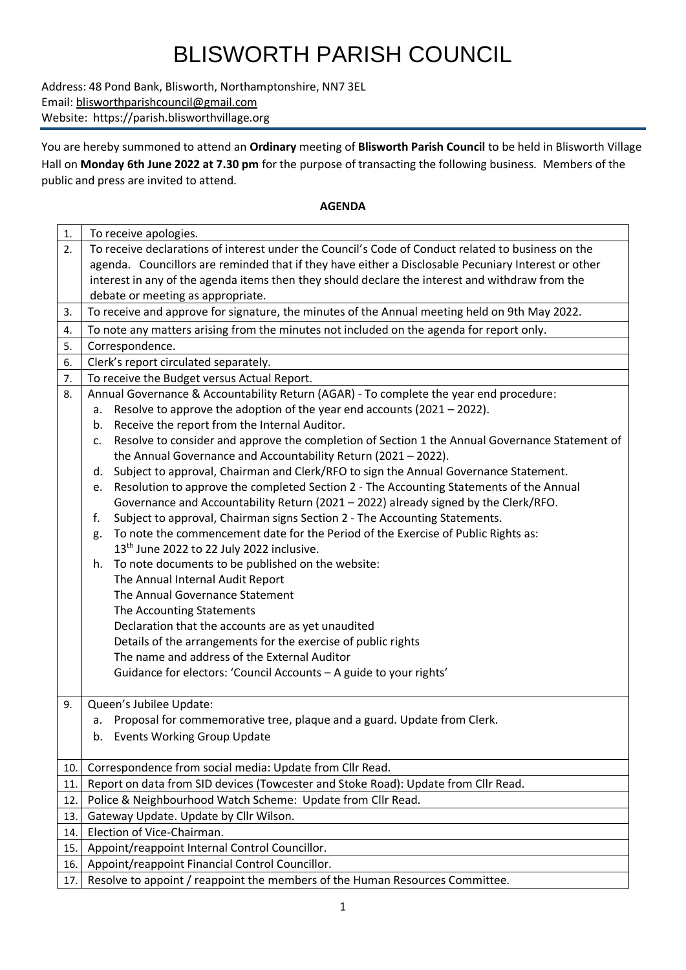# BLISWORTH PARISH COUNCIL

Address: 48 Pond Bank, Blisworth, Northamptonshire, NN7 3EL Email: [blisworthparishcouncil@gmail.com](mailto:blisworthparishcouncil@gmail.com) Website: https://parish.blisworthvillage.org

You are hereby summoned to attend an **Ordinary** meeting of **Blisworth Parish Council** to be held in Blisworth Village Hall on **Monday 6th June 2022 at 7.30 pm** for the purpose of transacting the following business. Members of the public and press are invited to attend.

### **AGENDA**

| 1.  | To receive apologies.                                                                                |  |  |  |  |
|-----|------------------------------------------------------------------------------------------------------|--|--|--|--|
| 2.  | To receive declarations of interest under the Council's Code of Conduct related to business on the   |  |  |  |  |
|     | agenda. Councillors are reminded that if they have either a Disclosable Pecuniary Interest or other  |  |  |  |  |
|     | interest in any of the agenda items then they should declare the interest and withdraw from the      |  |  |  |  |
|     | debate or meeting as appropriate.                                                                    |  |  |  |  |
| 3.  | To receive and approve for signature, the minutes of the Annual meeting held on 9th May 2022.        |  |  |  |  |
| 4.  | To note any matters arising from the minutes not included on the agenda for report only.             |  |  |  |  |
| 5.  | Correspondence.                                                                                      |  |  |  |  |
| 6.  | Clerk's report circulated separately.                                                                |  |  |  |  |
| 7.  | To receive the Budget versus Actual Report.                                                          |  |  |  |  |
| 8.  | Annual Governance & Accountability Return (AGAR) - To complete the year end procedure:               |  |  |  |  |
|     | Resolve to approve the adoption of the year end accounts (2021 - 2022).<br>а.                        |  |  |  |  |
|     | Receive the report from the Internal Auditor.<br>b.                                                  |  |  |  |  |
|     | Resolve to consider and approve the completion of Section 1 the Annual Governance Statement of<br>c. |  |  |  |  |
|     | the Annual Governance and Accountability Return (2021 - 2022).                                       |  |  |  |  |
|     | Subject to approval, Chairman and Clerk/RFO to sign the Annual Governance Statement.<br>d.           |  |  |  |  |
|     | Resolution to approve the completed Section 2 - The Accounting Statements of the Annual<br>e.        |  |  |  |  |
|     | Governance and Accountability Return (2021 - 2022) already signed by the Clerk/RFO.                  |  |  |  |  |
|     | Subject to approval, Chairman signs Section 2 - The Accounting Statements.<br>f.                     |  |  |  |  |
|     | To note the commencement date for the Period of the Exercise of Public Rights as:<br>g.              |  |  |  |  |
|     | 13 <sup>th</sup> June 2022 to 22 July 2022 inclusive.                                                |  |  |  |  |
|     | To note documents to be published on the website:<br>h.                                              |  |  |  |  |
|     | The Annual Internal Audit Report                                                                     |  |  |  |  |
|     | The Annual Governance Statement                                                                      |  |  |  |  |
|     | The Accounting Statements                                                                            |  |  |  |  |
|     | Declaration that the accounts are as yet unaudited                                                   |  |  |  |  |
|     | Details of the arrangements for the exercise of public rights                                        |  |  |  |  |
|     | The name and address of the External Auditor                                                         |  |  |  |  |
|     | Guidance for electors: 'Council Accounts - A guide to your rights'                                   |  |  |  |  |
| 9.  | Queen's Jubilee Update:                                                                              |  |  |  |  |
|     | Proposal for commemorative tree, plaque and a guard. Update from Clerk.<br>а.                        |  |  |  |  |
|     | b. Events Working Group Update                                                                       |  |  |  |  |
|     |                                                                                                      |  |  |  |  |
| 10. | Correspondence from social media: Update from Cllr Read.                                             |  |  |  |  |
| 11. | Report on data from SID devices (Towcester and Stoke Road): Update from Cllr Read.                   |  |  |  |  |
| 12. | Police & Neighbourhood Watch Scheme: Update from Cllr Read.                                          |  |  |  |  |
| 13. | Gateway Update. Update by Cllr Wilson.                                                               |  |  |  |  |
| 14. | Election of Vice-Chairman.                                                                           |  |  |  |  |
| 15. | Appoint/reappoint Internal Control Councillor.                                                       |  |  |  |  |
| 16. | Appoint/reappoint Financial Control Councillor.                                                      |  |  |  |  |
| 17. | Resolve to appoint / reappoint the members of the Human Resources Committee.                         |  |  |  |  |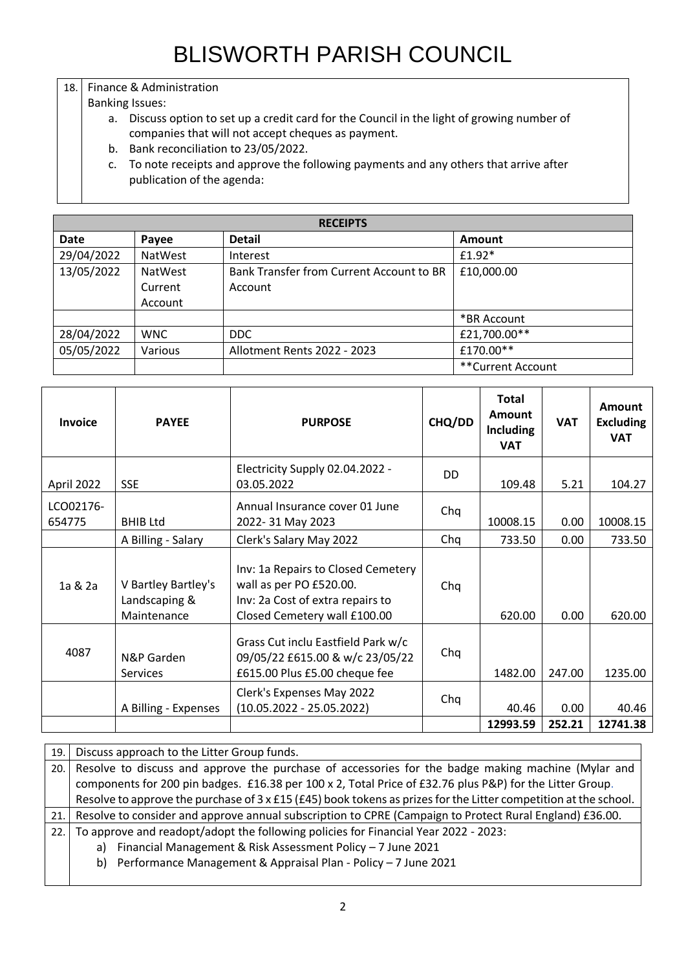## 18. Finance & Administration

### Banking Issues:

- a. Discuss option to set up a credit card for the Council in the light of growing number of companies that will not accept cheques as payment.
- b. Bank reconciliation to 23/05/2022.
- c. To note receipts and approve the following payments and any others that arrive after publication of the agenda:

| <b>RECEIPTS</b> |                |                                          |                   |  |
|-----------------|----------------|------------------------------------------|-------------------|--|
| Date            | Payee          | <b>Detail</b>                            | <b>Amount</b>     |  |
| 29/04/2022      | NatWest        | Interest                                 | $£1.92*$          |  |
| 13/05/2022      | <b>NatWest</b> | Bank Transfer from Current Account to BR | £10,000.00        |  |
|                 | Current        | Account                                  |                   |  |
|                 | Account        |                                          |                   |  |
|                 |                |                                          | *BR Account       |  |
| 28/04/2022      | <b>WNC</b>     | <b>DDC</b>                               | £21,700.00**      |  |
| 05/05/2022      | Various        | Allotment Rents 2022 - 2023              | £170.00**         |  |
|                 |                |                                          | **Current Account |  |

| <b>Invoice</b>      | <b>PAYEE</b>                                        | <b>PURPOSE</b>                                                                                                                    | CHQ/DD | Total<br>Amount<br><b>Including</b><br><b>VAT</b> | <b>VAT</b>     | <b>Amount</b><br><b>Excluding</b><br><b>VAT</b> |
|---------------------|-----------------------------------------------------|-----------------------------------------------------------------------------------------------------------------------------------|--------|---------------------------------------------------|----------------|-------------------------------------------------|
| April 2022          | <b>SSE</b>                                          | Electricity Supply 02.04.2022 -<br>03.05.2022                                                                                     | DD     | 109.48                                            | 5.21           | 104.27                                          |
| LCO02176-<br>654775 | <b>BHIB Ltd</b>                                     | Annual Insurance cover 01 June<br>2022-31 May 2023                                                                                | Chq    | 10008.15                                          | 0.00           | 10008.15                                        |
|                     | A Billing - Salary                                  | Clerk's Salary May 2022                                                                                                           | Chq    | 733.50                                            | 0.00           | 733.50                                          |
| 1a & 2a             | V Bartley Bartley's<br>Landscaping &<br>Maintenance | Inv: 1a Repairs to Closed Cemetery<br>wall as per PO £520.00.<br>Inv: 2a Cost of extra repairs to<br>Closed Cemetery wall £100.00 | Chq    | 620.00                                            | 0.00           | 620.00                                          |
| 4087                | N&P Garden<br><b>Services</b>                       | Grass Cut inclu Eastfield Park w/c<br>09/05/22 £615.00 & w/c 23/05/22<br>£615.00 Plus £5.00 cheque fee                            | Chq    | 1482.00                                           | 247.00         | 1235.00                                         |
|                     | A Billing - Expenses                                | Clerk's Expenses May 2022<br>$(10.05.2022 - 25.05.2022)$                                                                          | Chq    | 40.46<br>12993.59                                 | 0.00<br>252.21 | 40.46<br>12741.38                               |

| 19. | Discuss approach to the Litter Group funds.                                                                             |  |  |
|-----|-------------------------------------------------------------------------------------------------------------------------|--|--|
| 20. | Resolve to discuss and approve the purchase of accessories for the badge making machine (Mylar and                      |  |  |
|     | components for 200 pin badges. £16.38 per 100 x 2, Total Price of £32.76 plus P&P) for the Litter Group.                |  |  |
|     | Resolve to approve the purchase of $3 \times$ £15 (£45) book tokens as prizes for the Litter competition at the school. |  |  |
|     | 21. Resolve to consider and approve annual subscription to CPRE (Campaign to Protect Rural England) £36.00.             |  |  |
|     | 22.   To approve and readopt/adopt the following policies for Financial Year 2022 - 2023:                               |  |  |
|     | a) Financial Management & Risk Assessment Policy - 7 June 2021                                                          |  |  |
|     | b) Performance Management & Appraisal Plan - Policy - 7 June 2021                                                       |  |  |
|     |                                                                                                                         |  |  |